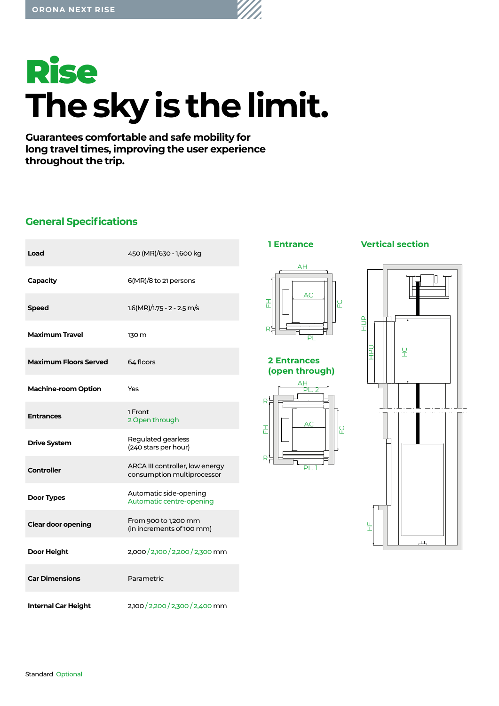

**Guarantees comfortable and safe mobility for long travel times, improving the user experience throughout the trip.**

# **General Specifications**

| Load                         | 450 (MR)/630 - 1,600 kg                                       |
|------------------------------|---------------------------------------------------------------|
| Capacity                     | 6(MR)/8 to 21 persons                                         |
| <b>Speed</b>                 | $1.6(MR)/1.75 - 2 - 2.5 m/s$                                  |
| <b>Maximum Travel</b>        | 130 m                                                         |
| <b>Maximum Floors Served</b> | 64 floors                                                     |
| <b>Machine-room Option</b>   | Yes                                                           |
| <b>Entrances</b>             | 1 Front<br>2 Open through                                     |
| <b>Drive System</b>          | Regulated gearless<br>(240 stars per hour)                    |
| <b>Controller</b>            | ARCA III controller, low energy<br>consumption multiprocessor |
| Door Types                   | Automatic side-opening<br>Automatic centre-opening            |
| <b>Clear door opening</b>    | From 900 to 1,200 mm<br>(in increments of 100 mm)             |
| Door Height                  | 2,000/2,100/2,200/2,300 mm                                    |
| <b>Car Dimensions</b>        | Parametric                                                    |
| <b>Internal Car Height</b>   | 2,100 / 2,200 / 2,300 / 2,400 mm                              |



 $\Delta H$ AC 곲 H<br>R<br>R FC r. PL

### **2 Entrances (open through)**



# **1 Entrance Vertical section**

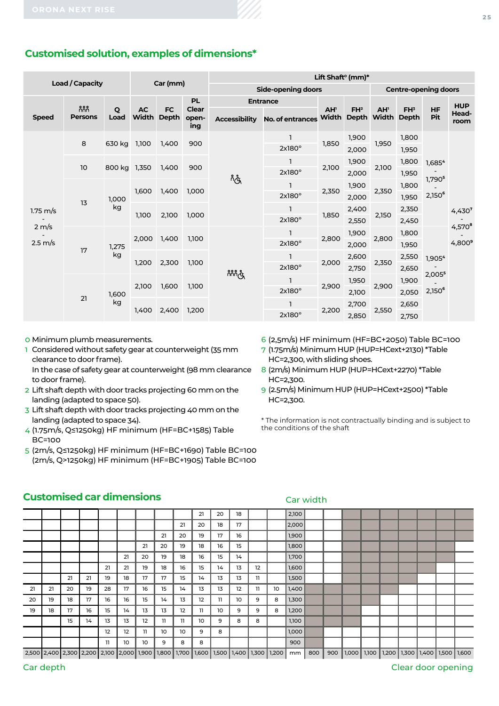# **Customised solution, examples of dimensions\***

|                                                              |                          |              |                    |                           |                       | Lift Shaft <sup>o</sup> (mm)* |                             |                          |                 |                                |                                 |                                                       |                    |  |  |  |  |
|--------------------------------------------------------------|--------------------------|--------------|--------------------|---------------------------|-----------------------|-------------------------------|-----------------------------|--------------------------|-----------------|--------------------------------|---------------------------------|-------------------------------------------------------|--------------------|--|--|--|--|
|                                                              | <b>Load / Capacity</b>   |              |                    | Car (mm)                  |                       | <b>Side-opening doors</b>     | <b>Centre-opening doors</b> |                          |                 |                                |                                 |                                                       |                    |  |  |  |  |
|                                                              |                          |              |                    |                           | <b>PL</b>             |                               | <b>Entrance</b>             |                          |                 |                                |                                 |                                                       | <b>HUP</b>         |  |  |  |  |
| <b>Speed</b>                                                 | កំកំកំ<br><b>Persons</b> | Q<br>Load    | <b>AC</b><br>Width | <b>FC</b><br><b>Depth</b> | Clear<br>open-<br>ing | <b>Accessibility</b>          | No. of entrances            | AH <sup>1</sup><br>Width | FH <sup>2</sup> | AH <sup>1</sup><br>Depth Width | FH <sup>3</sup><br><b>Depth</b> | <b>HF</b><br>Pit                                      | Head-<br>room      |  |  |  |  |
| $1.75 \text{ m/s}$<br>$2 \, \text{m/s}$<br>$2.5 \text{ m/s}$ |                          | 630 kg       |                    |                           |                       |                               |                             | 1                        |                 | 1,900                          |                                 | 1,800                                                 |                    |  |  |  |  |
|                                                              | 8                        |              | 1,100              | 1,400                     | 900                   |                               | $2x180^\circ$               | 1,850                    | 2,000           | 1,950                          | 1,950                           | 1,685 <sup>4</sup><br>1,790 <sup>5</sup><br>$2,150^6$ |                    |  |  |  |  |
|                                                              |                          |              |                    |                           | 900                   | ကိုက                          | 1                           |                          | 1,900           | 2,100                          | 1,800                           |                                                       |                    |  |  |  |  |
|                                                              | 10                       | 800 kg 1,350 |                    | 1,400                     |                       |                               | $2x180^\circ$               | 2,100                    | 2,000           |                                | 1,950                           |                                                       |                    |  |  |  |  |
|                                                              | 13                       | 1,000        | 1,600              | 1,400                     | 1,000                 |                               | 1                           | 2,350<br>1,850           | 1,900           | 2,350<br>2,150                 | 1,800                           |                                                       |                    |  |  |  |  |
|                                                              |                          |              |                    |                           |                       |                               | $2x180^\circ$               |                          | 2,000           |                                | 1,950                           |                                                       |                    |  |  |  |  |
|                                                              |                          | kg           | 1,100              | 2,100                     | 1,000                 |                               | 1                           |                          | 2,400           |                                | 2,350                           |                                                       | 4,430 <sup>7</sup> |  |  |  |  |
|                                                              |                          |              |                    |                           |                       |                               | $2x180^\circ$               |                          | 2,550           |                                | 2,450                           |                                                       | $4,570^{8}$        |  |  |  |  |
|                                                              | 17                       | 1,275        | 2,000              | 1,400                     | 1,100                 |                               | ı                           | 2,800                    | 1,900           | 2,800                          | 1,800                           |                                                       |                    |  |  |  |  |
|                                                              |                          |              |                    |                           |                       |                               | $2x180^\circ$               |                          | 2,000           |                                | 1,950                           |                                                       | $4,800^9$          |  |  |  |  |
|                                                              |                          | kg           | 1,200              | 2,300                     | 1,100                 |                               | $\mathbf{I}$                | 2,000                    | 2,600           | 2,350                          | 2,550                           | 1,905 <sup>4</sup>                                    |                    |  |  |  |  |
|                                                              |                          |              |                    |                           |                       | ဂိဂိဂိုလွှ                    | $2x180^\circ$               |                          | 2,750           |                                | 2,650                           | 2,0055                                                |                    |  |  |  |  |
|                                                              |                          | 1,600        | 2,100              | 1,600                     | 1,100                 |                               | $\mathbf{I}$                | 2,900                    | 1,950           | 2,900                          | 1,900                           |                                                       |                    |  |  |  |  |
|                                                              | 21                       |              |                    |                           |                       |                               | $2x180^\circ$               |                          | 2,100           |                                | 2,050                           | 2,150 <sup>6</sup>                                    |                    |  |  |  |  |
|                                                              |                          | kg           | 1,400              | 2,400                     | 1,200                 |                               | 1                           | 2,200                    | 2,700           |                                | 2,650                           |                                                       |                    |  |  |  |  |
|                                                              |                          |              |                    |                           |                       |                               | $2x180^\circ$               |                          | 2,850           | 2,550                          | 2,750                           |                                                       |                    |  |  |  |  |

0 Minimum plumb measurements.

- 1 Considered without safety gear at counterweight (35 mm clearance to door frame). In the case of safety gear at counterweight (98 mm clearance
- to door frame).
- 2 Lift shaft depth with door tracks projecting 60 mm on the landing (adapted to space 50).
- 3 Lift shaft depth with door tracks projecting 40 mm on the landing (adapted to space 34).
- 4 (1.75m/s, Q≤1250kg) HF minimum (HF=BC+1585) Table BC=100
- 5 (2m/s, Q≤1250kg) HF minimum (HF=BC+1690) Table BC=100 (2m/s, Q>1250kg) HF minimum (HF=BC+1905) Table BC=100
- 6 (2,5m/s) HF minimum (HF=BC+2050) Table BC=100
- 7 (1.75m/s) Minimum HUP (HUP=HCext+2130) \*Table HC=2,300, with sliding shoes.
- 8 (2m/s) Minimum HUP (HUP=HCext+2270) \*Table HC=2,300.
- 9 (2.5m/s) Minimum HUP (HUP=HCext+2500) \*Table HC=2,300.

Car width

\* The information is not contractually binding and is subject to the conditions of the shaft

### **Customised car dimensions**

|    |                                                                                            |    |    |    |    |    |    |    | 21 | 20 | 18 |     |    | 2,100 |     |  |  |                                                       |  |
|----|--------------------------------------------------------------------------------------------|----|----|----|----|----|----|----|----|----|----|-----|----|-------|-----|--|--|-------------------------------------------------------|--|
|    |                                                                                            |    |    |    |    |    |    | 21 | 20 | 18 | 17 |     |    | 2,000 |     |  |  |                                                       |  |
|    |                                                                                            |    |    |    |    |    | 21 | 20 | 19 | 17 | 16 |     |    | 1,900 |     |  |  |                                                       |  |
|    |                                                                                            |    |    |    |    | 21 | 20 | 19 | 18 | 16 | 15 |     |    | 1,800 |     |  |  |                                                       |  |
|    |                                                                                            |    |    |    | 21 | 20 | 19 | 18 | 16 | 15 | 14 |     |    | 1,700 |     |  |  |                                                       |  |
|    |                                                                                            |    |    | 21 | 21 | 19 | 18 | 16 | 15 | 14 | 13 | 12  |    | 1,600 |     |  |  |                                                       |  |
|    |                                                                                            | 21 | 21 | 19 | 18 | 17 | 17 | 15 | 14 | 13 | 13 | 11. |    | 1,500 |     |  |  |                                                       |  |
| 21 | 21                                                                                         | 20 | 19 | 28 | 17 | 16 | 15 | 14 | 13 | 13 | 12 | 11  | 10 | 1,400 |     |  |  |                                                       |  |
| 20 | 19                                                                                         | 18 | 17 | 16 | 16 | 15 | 14 | 13 | 12 | 11 | 10 | 9   | 8  | 1,300 |     |  |  |                                                       |  |
| 19 | 18                                                                                         | 17 | 16 | 15 | 14 | 13 | 13 | 12 | 11 | 10 | 9  | 9   | 8  | 1,200 |     |  |  |                                                       |  |
|    |                                                                                            | 15 | 14 | 13 | 13 | 12 | 11 | 11 | 10 | 9  | 8  | 8   |    | 1,100 |     |  |  |                                                       |  |
|    |                                                                                            |    |    | 12 | 12 | 11 | 10 | 10 | 9  | 8  |    |     |    | 1,000 |     |  |  |                                                       |  |
|    |                                                                                            |    |    | 11 | 10 | 10 | 9  | 8  | 8  |    |    |     |    | 900   |     |  |  |                                                       |  |
|    | 2,500 2,400 2,300 2,200 2,200 2,000 1,900 1,800 1,700 1,600 1,500 1,400 1,300 1,200 mm 800 |    |    |    |    |    |    |    |    |    |    |     |    |       | 900 |  |  | 1,000   1,100   1,200   1,300   1,400   1,500   1,600 |  |

### Car depth Clear door opening